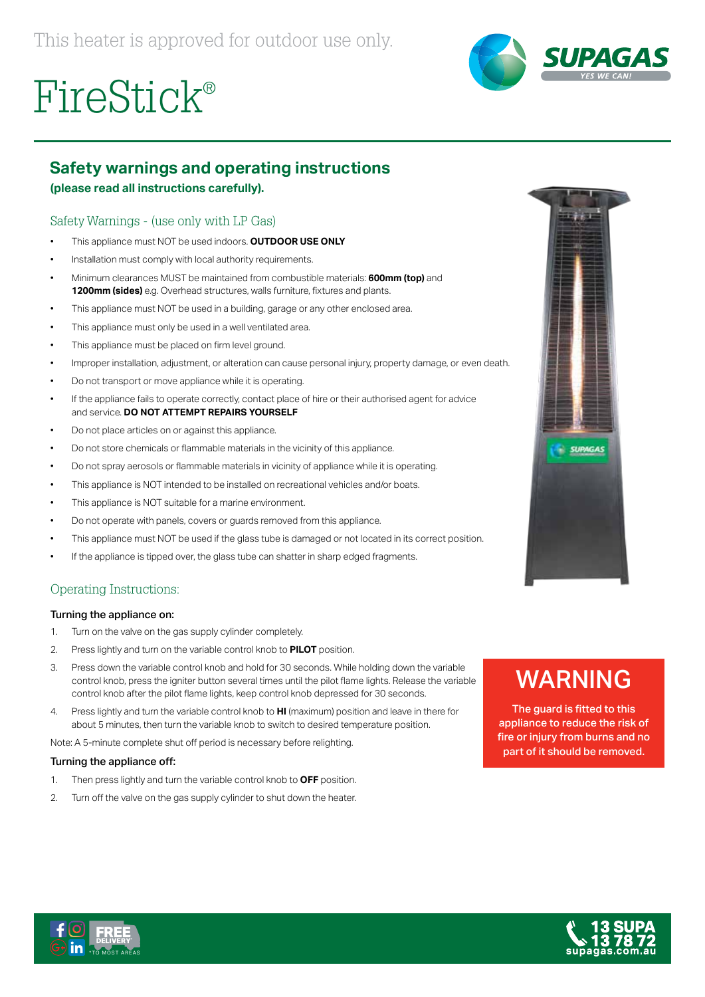

# FireStick®

## **Safety warnings and operating instructions**

#### **(please read all instructions carefully).**

### Safety Warnings - (use only with LP Gas)

- This appliance must NOT be used indoors. **OUTDOOR USE ONLY**
- Installation must comply with local authority requirements.
- Minimum clearances MUST be maintained from combustible materials: **600mm (top)** and **1200mm (sides)** e.g. Overhead structures, walls furniture, fixtures and plants.
- This appliance must NOT be used in a building, garage or any other enclosed area.
- This appliance must only be used in a well ventilated area.
- This appliance must be placed on firm level ground.
- Improper installation, adjustment, or alteration can cause personal injury, property damage, or even death.
- Do not transport or move appliance while it is operating.
- If the appliance fails to operate correctly, contact place of hire or their authorised agent for advice and service. **DO NOT ATTEMPT REPAIRS YOURSELF**
- Do not place articles on or against this appliance.
- Do not store chemicals or flammable materials in the vicinity of this appliance.
- Do not spray aerosols or flammable materials in vicinity of appliance while it is operating.
- This appliance is NOT intended to be installed on recreational vehicles and/or boats.
- This appliance is NOT suitable for a marine environment.
- Do not operate with panels, covers or guards removed from this appliance.
- This appliance must NOT be used if the glass tube is damaged or not located in its correct position.
- If the appliance is tipped over, the glass tube can shatter in sharp edged fragments.

### Operating Instructions:

#### Turning the appliance on:

- 1. Turn on the valve on the gas supply cylinder completely.
- 2. Press lightly and turn on the variable control knob to **PILOT** position.
- 3. Press down the variable control knob and hold for 30 seconds. While holding down the variable control knob, press the igniter button several times until the pilot flame lights. Release the variable control knob after the pilot flame lights, keep control knob depressed for 30 seconds.
- 4. Press lightly and turn the variable control knob to **HI** (maximum) position and leave in there for about 5 minutes, then turn the variable knob to switch to desired temperature position.

Note: A 5-minute complete shut off period is necessary before relighting.

#### Turning the appliance off:

- 1. Then press lightly and turn the variable control knob to **OFF** position.
- 2. Turn off the valve on the gas supply cylinder to shut down the heater.



# WARNING

The guard is fitted to this appliance to reduce the risk of fire or injury from burns and no part of it should be removed.